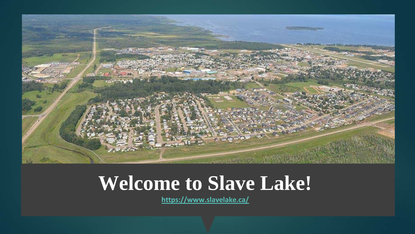

### **Welcome to Slave Lake!**

**<https://www.slavelake.ca/>**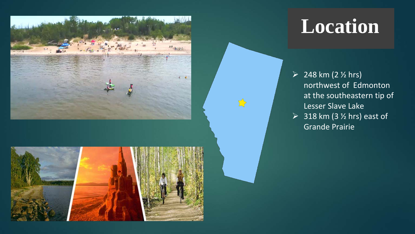

### **Location**

- $248 km (2 <sup>1</sup>/<sub>2</sub> hrs)$ northwest of Edmonton at the southeastern tip of Lesser Slave Lake
- $\geq$  318 km (3  $\frac{1}{2}$  hrs) east of Grande Prairie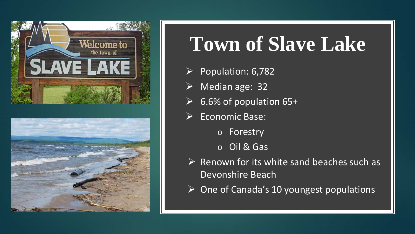



## **Town of Slave Lake**

- $\triangleright$  Population: 6,782
- Median age: 32
- $\triangleright$  6.6% of population 65+
- $\triangleright$  Economic Base:
	- o Forestry
	- o Oil & Gas
- $\triangleright$  Renown for its white sand beaches such as Devonshire Beach
- $\triangleright$  One of Canada's 10 youngest populations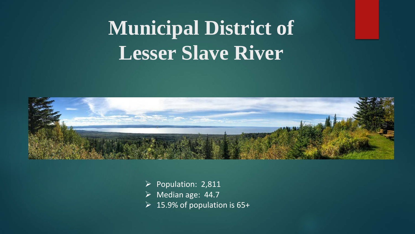# **Municipal District of Lesser Slave River**



 $\triangleright$  Population: 2,811  $\triangleright$  Median age: 44.7  $\geq 15.9\%$  of population is 65+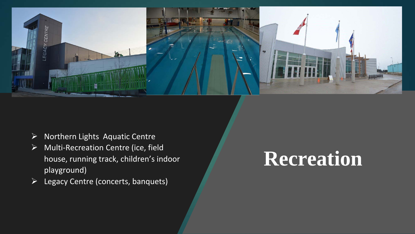

- $\triangleright$  Northern Lights Aquatic Centre
- $\triangleright$  Multi-Recreation Centre (ice, field house, running track, children's indoor playground)
- $\triangleright$  Legacy Centre (concerts, banquets)

## **Recreation**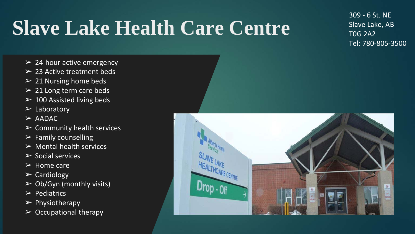# **Slave Lake Health Care Centre**

309 - 6 St. NE Slave Lake, AB T0G 2A2 Tel: 780-805-3500

- $\geq$  24-hour active emergency
- $\geq$  23 Active treatment beds
- $\geq$  21 Nursing home beds
- $\geq$  21 Long term care beds
- $\geq$  100 Assisted living beds
- $\triangleright$  Laboratory
- $>$  AADAC
- $\triangleright$  Community health services
- $\triangleright$  Family counselling
- $\triangleright$  Mental health services
- $\triangleright$  Social services
- $\triangleright$  Home care
- $\triangleright$  Cardiology
- $\triangleright$  Ob/Gyn (monthly visits)
- $\triangleright$  Pediatrics
- $\triangleright$  Physiotherapy
- $\triangleright$  Occupational therapy